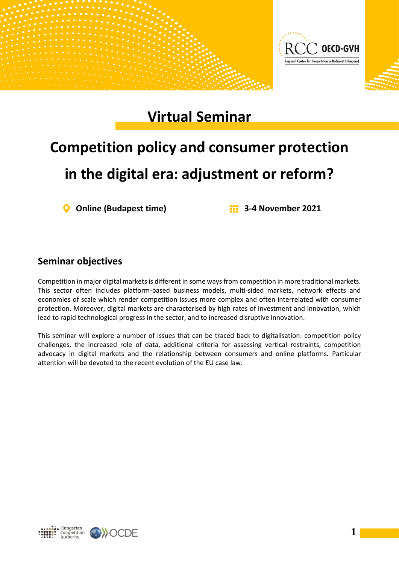

## **Virtual Seminar**

## **Competition policy and consumer protection in the digital era: adjustment or reform?**

**Online (Budapest time) 3-4 November 2021**

## **Seminar objectives**

Competition in major digital markets is different in some ways from competition in more traditional markets. This sector often includes platform-based business models, multi-sided markets, network effects and economies of scale which render competition issues more complex and often interrelated with consumer protection. Moreover, digital markets are characterised by high rates of investment and innovation, which lead to rapid technological progress in the sector, and to increased disruptive innovation.

This seminar will explore a number of issues that can be traced back to digitalisation: competition policy challenges, the increased role of data, additional criteria for assessing vertical restraints, competition advocacy in digital markets and the relationship between consumers and online platforms. Particular attention will be devoted to the recent evolution of the EU case law.